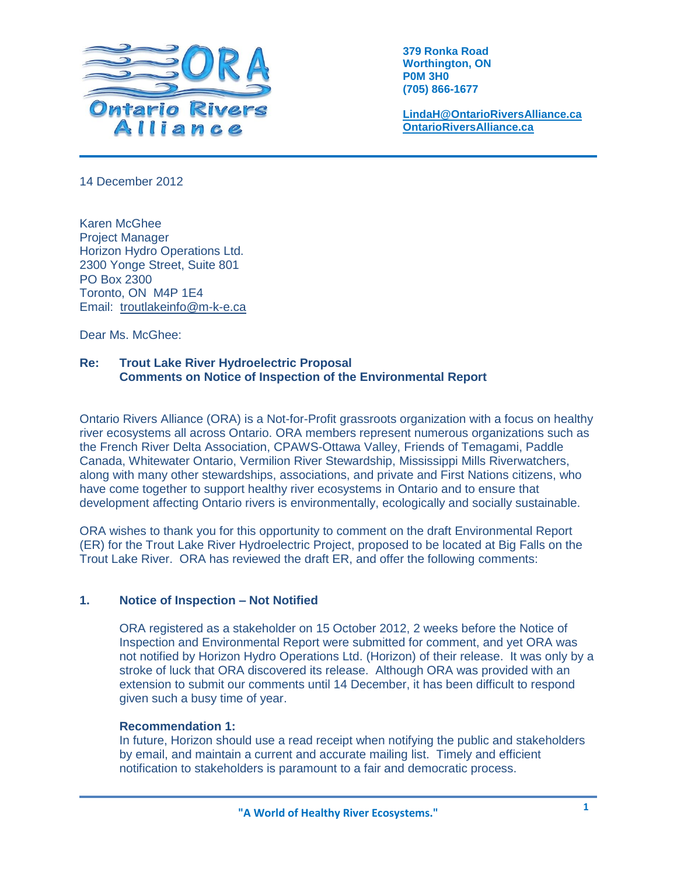

**379 Ronka Road Worthington, ON P0M 3H0 (705) 866-1677**

**[LindaH@OntarioRiversAlliance.ca](mailto:LindaH@OntarioRiversAlliance.ca) [OntarioRiversAlliance.ca](http://www.ontarioriversalliance.ca/)**

14 December 2012

Karen McGhee Project Manager Horizon Hydro Operations Ltd. 2300 Yonge Street, Suite 801 PO Box 2300 Toronto, ON M4P 1E4 Email: [troutlakeinfo@m-k-e.ca](mailto:troutlakeinfo@m-k-e.ca)

Dear Ms. McGhee:

# **Re: Trout Lake River Hydroelectric Proposal Comments on Notice of Inspection of the Environmental Report**

Ontario Rivers Alliance (ORA) is a Not-for-Profit grassroots organization with a focus on healthy river ecosystems all across Ontario. ORA members represent numerous organizations such as the French River Delta Association, CPAWS-Ottawa Valley, Friends of Temagami, Paddle Canada, Whitewater Ontario, Vermilion River Stewardship, Mississippi Mills Riverwatchers, along with many other stewardships, associations, and private and First Nations citizens, who have come together to support healthy river ecosystems in Ontario and to ensure that development affecting Ontario rivers is environmentally, ecologically and socially sustainable.

ORA wishes to thank you for this opportunity to comment on the draft Environmental Report (ER) for the Trout Lake River Hydroelectric Project, proposed to be located at Big Falls on the Trout Lake River. ORA has reviewed the draft ER, and offer the following comments:

# **1. Notice of Inspection – Not Notified**

ORA registered as a stakeholder on 15 October 2012, 2 weeks before the Notice of Inspection and Environmental Report were submitted for comment, and yet ORA was not notified by Horizon Hydro Operations Ltd. (Horizon) of their release. It was only by a stroke of luck that ORA discovered its release. Although ORA was provided with an extension to submit our comments until 14 December, it has been difficult to respond given such a busy time of year.

# **Recommendation 1:**

In future, Horizon should use a read receipt when notifying the public and stakeholders by email, and maintain a current and accurate mailing list. Timely and efficient notification to stakeholders is paramount to a fair and democratic process.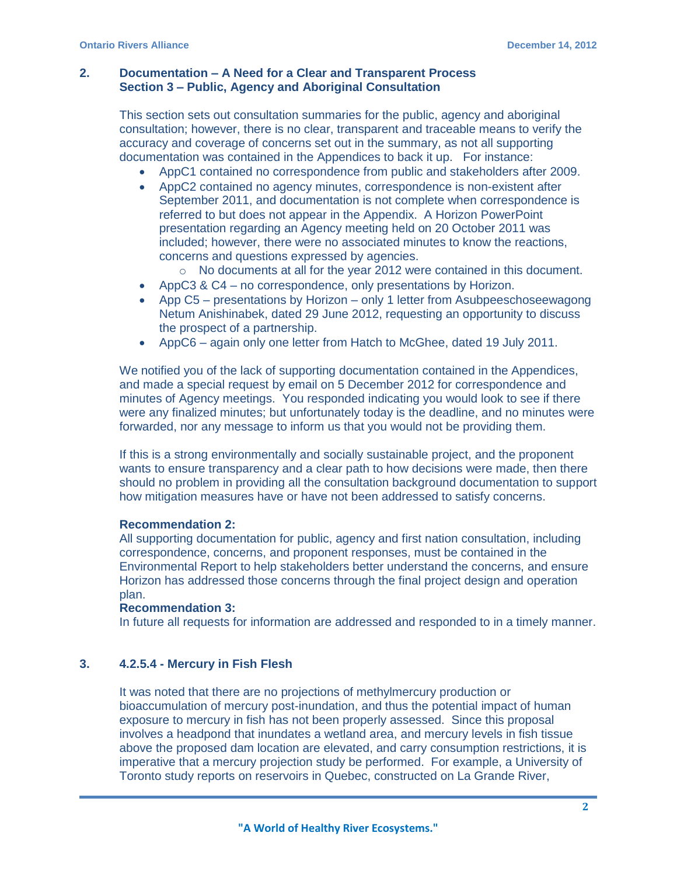## **2. Documentation – A Need for a Clear and Transparent Process Section 3 – Public, Agency and Aboriginal Consultation**

This section sets out consultation summaries for the public, agency and aboriginal consultation; however, there is no clear, transparent and traceable means to verify the accuracy and coverage of concerns set out in the summary, as not all supporting documentation was contained in the Appendices to back it up. For instance:

- AppC1 contained no correspondence from public and stakeholders after 2009.
- AppC2 contained no agency minutes, correspondence is non-existent after September 2011, and documentation is not complete when correspondence is referred to but does not appear in the Appendix. A Horizon PowerPoint presentation regarding an Agency meeting held on 20 October 2011 was included; however, there were no associated minutes to know the reactions, concerns and questions expressed by agencies.
	- o No documents at all for the year 2012 were contained in this document.
- AppC3 & C4 no correspondence, only presentations by Horizon.
- App C5 presentations by Horizon only 1 letter from Asubpeeschoseewagong Netum Anishinabek, dated 29 June 2012, requesting an opportunity to discuss the prospect of a partnership.
- AppC6 again only one letter from Hatch to McGhee, dated 19 July 2011.

We notified you of the lack of supporting documentation contained in the Appendices, and made a special request by email on 5 December 2012 for correspondence and minutes of Agency meetings. You responded indicating you would look to see if there were any finalized minutes; but unfortunately today is the deadline, and no minutes were forwarded, nor any message to inform us that you would not be providing them.

If this is a strong environmentally and socially sustainable project, and the proponent wants to ensure transparency and a clear path to how decisions were made, then there should no problem in providing all the consultation background documentation to support how mitigation measures have or have not been addressed to satisfy concerns.

### **Recommendation 2:**

All supporting documentation for public, agency and first nation consultation, including correspondence, concerns, and proponent responses, must be contained in the Environmental Report to help stakeholders better understand the concerns, and ensure Horizon has addressed those concerns through the final project design and operation plan.

## **Recommendation 3:**

In future all requests for information are addressed and responded to in a timely manner.

### **3. 4.2.5.4 - Mercury in Fish Flesh**

It was noted that there are no projections of methylmercury production or bioaccumulation of mercury post-inundation, and thus the potential impact of human exposure to mercury in fish has not been properly assessed. Since this proposal involves a headpond that inundates a wetland area, and mercury levels in fish tissue above the proposed dam location are elevated, and carry consumption restrictions, it is imperative that a mercury projection study be performed. For example, a University of Toronto study reports on reservoirs in Quebec, constructed on La Grande River,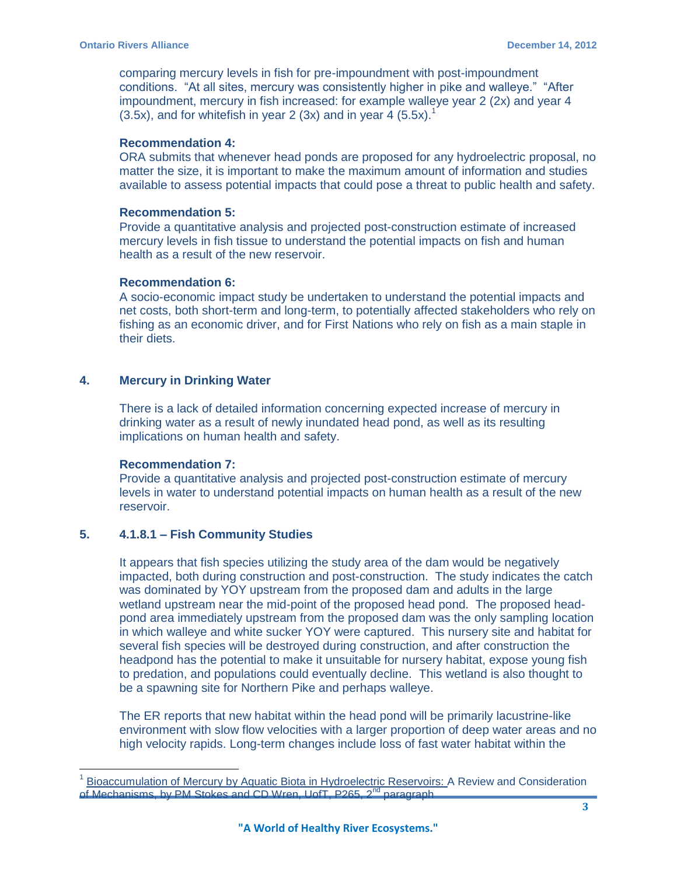comparing mercury levels in fish for pre-impoundment with post-impoundment conditions. "At all sites, mercury was consistently higher in pike and walleye." "After impoundment, mercury in fish increased: for example walleye year 2 (2x) and year 4  $(3.5x)$ , and for whitefish in year 2  $(3x)$  and in year 4  $(5.5x)$ .<sup>1</sup>

## **Recommendation 4:**

ORA submits that whenever head ponds are proposed for any hydroelectric proposal, no matter the size, it is important to make the maximum amount of information and studies available to assess potential impacts that could pose a threat to public health and safety.

## **Recommendation 5:**

Provide a quantitative analysis and projected post-construction estimate of increased mercury levels in fish tissue to understand the potential impacts on fish and human health as a result of the new reservoir.

## **Recommendation 6:**

A socio-economic impact study be undertaken to understand the potential impacts and net costs, both short-term and long-term, to potentially affected stakeholders who rely on fishing as an economic driver, and for First Nations who rely on fish as a main staple in their diets.

# **4. Mercury in Drinking Water**

There is a lack of detailed information concerning expected increase of mercury in drinking water as a result of newly inundated head pond, as well as its resulting implications on human health and safety.

# **Recommendation 7:**

 $\overline{a}$ 

Provide a quantitative analysis and projected post-construction estimate of mercury levels in water to understand potential impacts on human health as a result of the new reservoir.

# **5. 4.1.8.1 – Fish Community Studies**

It appears that fish species utilizing the study area of the dam would be negatively impacted, both during construction and post-construction. The study indicates the catch was dominated by YOY upstream from the proposed dam and adults in the large wetland upstream near the mid-point of the proposed head pond. The proposed headpond area immediately upstream from the proposed dam was the only sampling location in which walleye and white sucker YOY were captured. This nursery site and habitat for several fish species will be destroyed during construction, and after construction the headpond has the potential to make it unsuitable for nursery habitat, expose young fish to predation, and populations could eventually decline. This wetland is also thought to be a spawning site for Northern Pike and perhaps walleye.

The ER reports that new habitat within the head pond will be primarily lacustrine-like environment with slow flow velocities with a larger proportion of deep water areas and no high velocity rapids. Long-term changes include loss of fast water habitat within the

<sup>1</sup> [Bioaccumulation of Mercury by Aquatic Biota in Hydroelectric Reservoirs: A](http://ontarioriversalliance.ca/wp-content/uploads/2011/09/MethylMercuryProductionatHydroDams.pdf) Review and Consideration of Mechanisms, by PM Stokes and CD Wren, UofT, P265, 2<sup>nd</sup> paragraph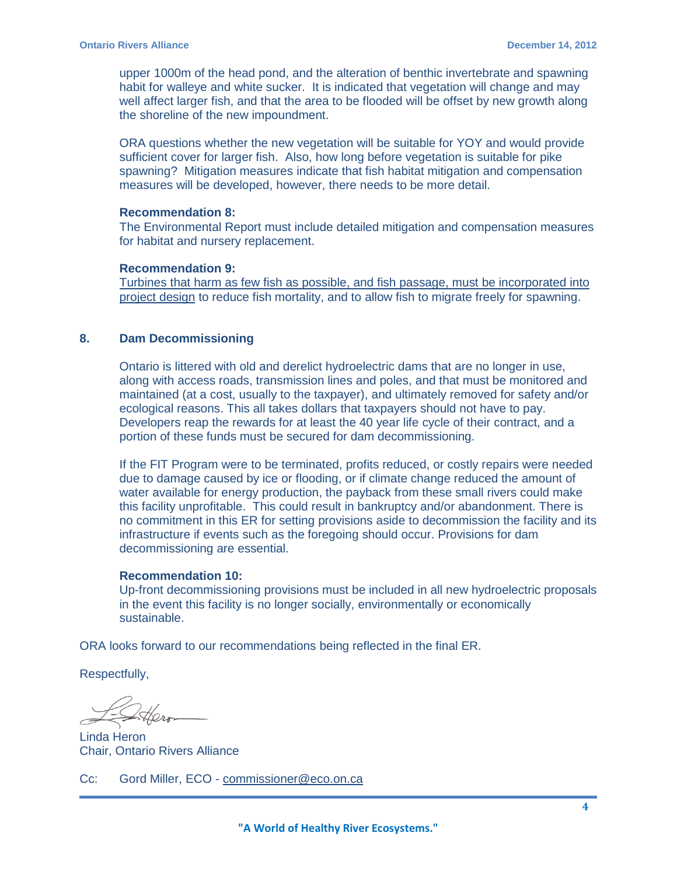upper 1000m of the head pond, and the alteration of benthic invertebrate and spawning habit for walleye and white sucker. It is indicated that vegetation will change and may well affect larger fish, and that the area to be flooded will be offset by new growth along the shoreline of the new impoundment.

ORA questions whether the new vegetation will be suitable for YOY and would provide sufficient cover for larger fish. Also, how long before vegetation is suitable for pike spawning? Mitigation measures indicate that fish habitat mitigation and compensation measures will be developed, however, there needs to be more detail.

#### **Recommendation 8:**

The Environmental Report must include detailed mitigation and compensation measures for habitat and nursery replacement.

### **Recommendation 9:**

Turbines that harm as few fish as possible, and fish passage, must be incorporated into project design to reduce fish mortality, and to allow fish to migrate freely for spawning.

### **8. Dam Decommissioning**

Ontario is littered with old and derelict hydroelectric dams that are no longer in use, along with access roads, transmission lines and poles, and that must be monitored and maintained (at a cost, usually to the taxpayer), and ultimately removed for safety and/or ecological reasons. This all takes dollars that taxpayers should not have to pay. Developers reap the rewards for at least the 40 year life cycle of their contract, and a portion of these funds must be secured for dam decommissioning.

If the FIT Program were to be terminated, profits reduced, or costly repairs were needed due to damage caused by ice or flooding, or if climate change reduced the amount of water available for energy production, the payback from these small rivers could make this facility unprofitable. This could result in bankruptcy and/or abandonment. There is no commitment in this ER for setting provisions aside to decommission the facility and its infrastructure if events such as the foregoing should occur. Provisions for dam decommissioning are essential.

#### **Recommendation 10:**

Up-front decommissioning provisions must be included in all new hydroelectric proposals in the event this facility is no longer socially, environmentally or economically sustainable.

ORA looks forward to our recommendations being reflected in the final ER.

Respectfully,

Linda Heron Chair, Ontario Rivers Alliance

Cc: Gord Miller, ECO - [commissioner@eco.on.ca](mailto:commissioner@eco.on.ca)